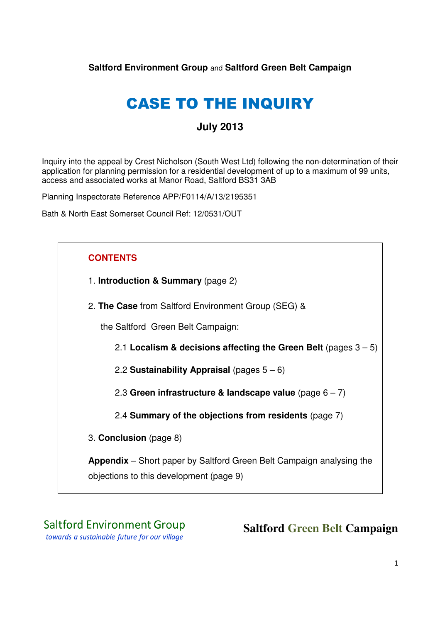**Saltford Environment Group** and **Saltford Green Belt Campaign** 

# CASE TO THE INQUIRY

# **July 2013**

Inquiry into the appeal by Crest Nicholson (South West Ltd) following the non-determination of their application for planning permission for a residential development of up to a maximum of 99 units, access and associated works at Manor Road, Saltford BS31 3AB

Planning Inspectorate Reference APP/F0114/A/13/2195351

Bath & North East Somerset Council Ref: 12/0531/OUT

## **CONTENTS**

1. **Introduction & Summary** (page 2)

2. **The Case** from Saltford Environment Group (SEG) &

the Saltford Green Belt Campaign:

2.1 **Localism & decisions affecting the Green Belt** (pages 3 – 5)

2.2 **Sustainability Appraisal** (pages 5 – 6)

2.3 **Green infrastructure & landscape value** (page 6 – 7)

2.4 **Summary of the objections from residents** (page 7)

3. **Conclusion** (page 8)

**Appendix** – Short paper by Saltford Green Belt Campaign analysing the objections to this development (page 9)

**Saltford Environment Group** towards a sustainable future for our village

**Saltford Green Belt Campaign**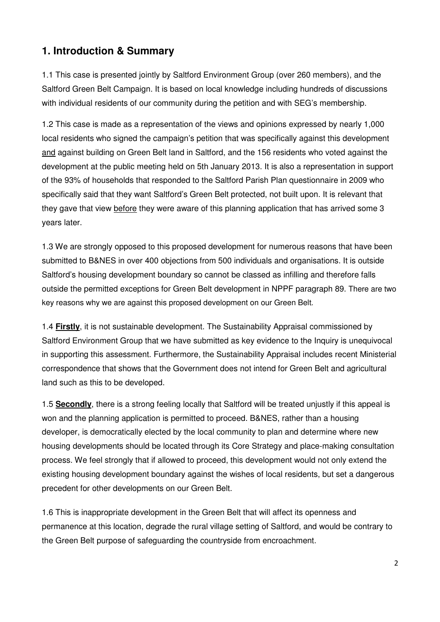# **1. Introduction & Summary**

1.1 This case is presented jointly by Saltford Environment Group (over 260 members), and the Saltford Green Belt Campaign. It is based on local knowledge including hundreds of discussions with individual residents of our community during the petition and with SEG's membership.

1.2 This case is made as a representation of the views and opinions expressed by nearly 1,000 local residents who signed the campaign's petition that was specifically against this development and against building on Green Belt land in Saltford, and the 156 residents who voted against the development at the public meeting held on 5th January 2013. It is also a representation in support of the 93% of households that responded to the Saltford Parish Plan questionnaire in 2009 who specifically said that they want Saltford's Green Belt protected, not built upon. It is relevant that they gave that view before they were aware of this planning application that has arrived some 3 years later.

1.3 We are strongly opposed to this proposed development for numerous reasons that have been submitted to B&NES in over 400 objections from 500 individuals and organisations. It is outside Saltford's housing development boundary so cannot be classed as infilling and therefore falls outside the permitted exceptions for Green Belt development in NPPF paragraph 89. There are two key reasons why we are against this proposed development on our Green Belt.

1.4 **Firstly**, it is not sustainable development. The Sustainability Appraisal commissioned by Saltford Environment Group that we have submitted as key evidence to the Inquiry is unequivocal in supporting this assessment. Furthermore, the Sustainability Appraisal includes recent Ministerial correspondence that shows that the Government does not intend for Green Belt and agricultural land such as this to be developed.

1.5 **Secondly**, there is a strong feeling locally that Saltford will be treated unjustly if this appeal is won and the planning application is permitted to proceed. B&NES, rather than a housing developer, is democratically elected by the local community to plan and determine where new housing developments should be located through its Core Strategy and place-making consultation process. We feel strongly that if allowed to proceed, this development would not only extend the existing housing development boundary against the wishes of local residents, but set a dangerous precedent for other developments on our Green Belt.

1.6 This is inappropriate development in the Green Belt that will affect its openness and permanence at this location, degrade the rural village setting of Saltford, and would be contrary to the Green Belt purpose of safeguarding the countryside from encroachment.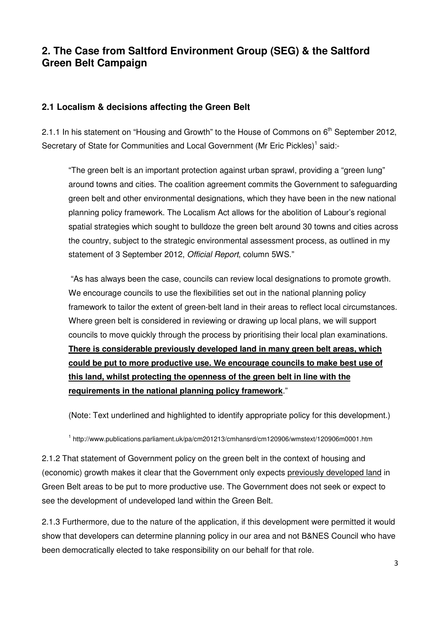# **2. The Case from Saltford Environment Group (SEG) & the Saltford Green Belt Campaign**

## **2.1 Localism & decisions affecting the Green Belt**

2.1.1 In his statement on "Housing and Growth" to the House of Commons on  $6<sup>th</sup>$  September 2012, Secretary of State for Communities and Local Government (Mr Eric Pickles)<sup>1</sup> said:-

"The green belt is an important protection against urban sprawl, providing a "green lung" around towns and cities. The coalition agreement commits the Government to safeguarding green belt and other environmental designations, which they have been in the new national planning policy framework. The Localism Act allows for the abolition of Labour's regional spatial strategies which sought to bulldoze the green belt around 30 towns and cities across the country, subject to the strategic environmental assessment process, as outlined in my statement of 3 September 2012, Official Report, column 5WS."

 "As has always been the case, councils can review local designations to promote growth. We encourage councils to use the flexibilities set out in the national planning policy framework to tailor the extent of green-belt land in their areas to reflect local circumstances. Where green belt is considered in reviewing or drawing up local plans, we will support councils to move quickly through the process by prioritising their local plan examinations. **There is considerable previously developed land in many green belt areas, which could be put to more productive use. We encourage councils to make best use of this land, whilst protecting the openness of the green belt in line with the requirements in the national planning policy framework**."

(Note: Text underlined and highlighted to identify appropriate policy for this development.)

1 http://www.publications.parliament.uk/pa/cm201213/cmhansrd/cm120906/wmstext/120906m0001.htm

2.1.2 That statement of Government policy on the green belt in the context of housing and (economic) growth makes it clear that the Government only expects previously developed land in Green Belt areas to be put to more productive use. The Government does not seek or expect to see the development of undeveloped land within the Green Belt.

2.1.3 Furthermore, due to the nature of the application, if this development were permitted it would show that developers can determine planning policy in our area and not B&NES Council who have been democratically elected to take responsibility on our behalf for that role.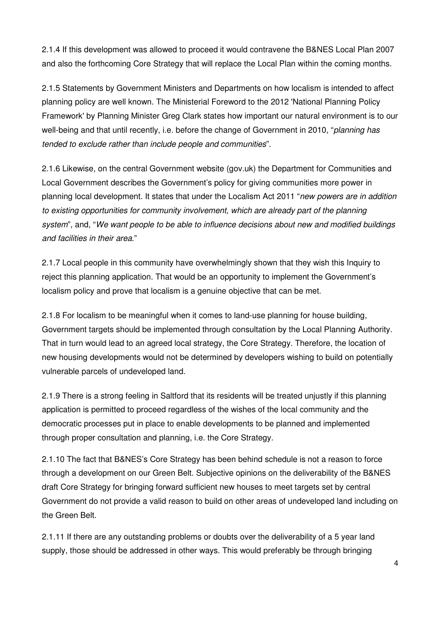2.1.4 If this development was allowed to proceed it would contravene the B&NES Local Plan 2007 and also the forthcoming Core Strategy that will replace the Local Plan within the coming months.

2.1.5 Statements by Government Ministers and Departments on how localism is intended to affect planning policy are well known. The Ministerial Foreword to the 2012 'National Planning Policy Framework' by Planning Minister Greg Clark states how important our natural environment is to our well-being and that until recently, i.e. before the change of Government in 2010, "*planning has* tended to exclude rather than include people and communities".

2.1.6 Likewise, on the central Government website (gov.uk) the Department for Communities and Local Government describes the Government's policy for giving communities more power in planning local development. It states that under the Localism Act 2011 "new powers are in addition to existing opportunities for community involvement, which are already part of the planning system", and, "We want people to be able to influence decisions about new and modified buildings and facilities in their area."

2.1.7 Local people in this community have overwhelmingly shown that they wish this Inquiry to reject this planning application. That would be an opportunity to implement the Government's localism policy and prove that localism is a genuine objective that can be met.

2.1.8 For localism to be meaningful when it comes to land-use planning for house building, Government targets should be implemented through consultation by the Local Planning Authority. That in turn would lead to an agreed local strategy, the Core Strategy. Therefore, the location of new housing developments would not be determined by developers wishing to build on potentially vulnerable parcels of undeveloped land.

2.1.9 There is a strong feeling in Saltford that its residents will be treated unjustly if this planning application is permitted to proceed regardless of the wishes of the local community and the democratic processes put in place to enable developments to be planned and implemented through proper consultation and planning, i.e. the Core Strategy.

2.1.10 The fact that B&NES's Core Strategy has been behind schedule is not a reason to force through a development on our Green Belt. Subjective opinions on the deliverability of the B&NES draft Core Strategy for bringing forward sufficient new houses to meet targets set by central Government do not provide a valid reason to build on other areas of undeveloped land including on the Green Belt.

2.1.11 If there are any outstanding problems or doubts over the deliverability of a 5 year land supply, those should be addressed in other ways. This would preferably be through bringing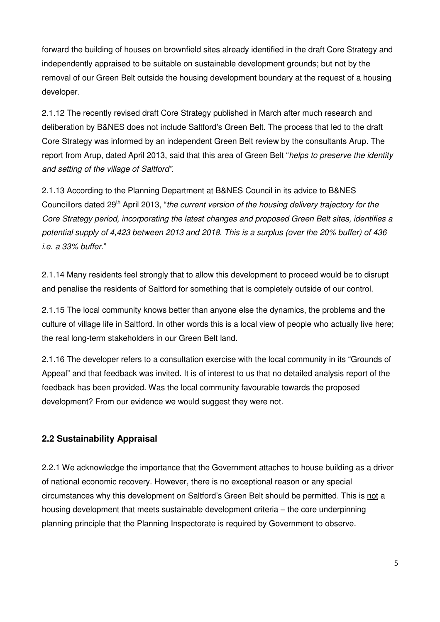forward the building of houses on brownfield sites already identified in the draft Core Strategy and independently appraised to be suitable on sustainable development grounds; but not by the removal of our Green Belt outside the housing development boundary at the request of a housing developer.

2.1.12 The recently revised draft Core Strategy published in March after much research and deliberation by B&NES does not include Saltford's Green Belt. The process that led to the draft Core Strategy was informed by an independent Green Belt review by the consultants Arup. The report from Arup, dated April 2013, said that this area of Green Belt "helps to preserve the identity and setting of the village of Saltford".

2.1.13 According to the Planning Department at B&NES Council in its advice to B&NES Councillors dated 29<sup>th</sup> April 2013, "the current version of the housing delivery trajectory for the Core Strategy period, incorporating the latest changes and proposed Green Belt sites, identifies a potential supply of 4,423 between 2013 and 2018. This is a surplus (over the 20% buffer) of 436 i.e. a 33% buffer."

2.1.14 Many residents feel strongly that to allow this development to proceed would be to disrupt and penalise the residents of Saltford for something that is completely outside of our control.

2.1.15 The local community knows better than anyone else the dynamics, the problems and the culture of village life in Saltford. In other words this is a local view of people who actually live here; the real long-term stakeholders in our Green Belt land.

2.1.16 The developer refers to a consultation exercise with the local community in its "Grounds of Appeal" and that feedback was invited. It is of interest to us that no detailed analysis report of the feedback has been provided. Was the local community favourable towards the proposed development? From our evidence we would suggest they were not.

## **2.2 Sustainability Appraisal**

2.2.1 We acknowledge the importance that the Government attaches to house building as a driver of national economic recovery. However, there is no exceptional reason or any special circumstances why this development on Saltford's Green Belt should be permitted. This is not a housing development that meets sustainable development criteria – the core underpinning planning principle that the Planning Inspectorate is required by Government to observe.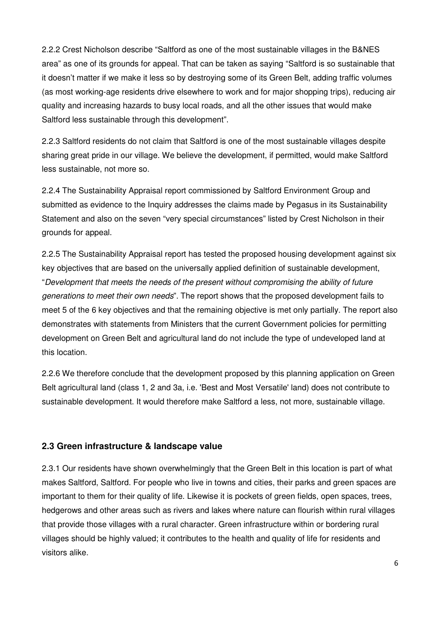2.2.2 Crest Nicholson describe "Saltford as one of the most sustainable villages in the B&NES area" as one of its grounds for appeal. That can be taken as saying "Saltford is so sustainable that it doesn't matter if we make it less so by destroying some of its Green Belt, adding traffic volumes (as most working-age residents drive elsewhere to work and for major shopping trips), reducing air quality and increasing hazards to busy local roads, and all the other issues that would make Saltford less sustainable through this development".

2.2.3 Saltford residents do not claim that Saltford is one of the most sustainable villages despite sharing great pride in our village. We believe the development, if permitted, would make Saltford less sustainable, not more so.

2.2.4 The Sustainability Appraisal report commissioned by Saltford Environment Group and submitted as evidence to the Inquiry addresses the claims made by Pegasus in its Sustainability Statement and also on the seven "very special circumstances" listed by Crest Nicholson in their grounds for appeal.

2.2.5 The Sustainability Appraisal report has tested the proposed housing development against six key objectives that are based on the universally applied definition of sustainable development, "Development that meets the needs of the present without compromising the ability of future generations to meet their own needs". The report shows that the proposed development fails to meet 5 of the 6 key objectives and that the remaining objective is met only partially. The report also demonstrates with statements from Ministers that the current Government policies for permitting development on Green Belt and agricultural land do not include the type of undeveloped land at this location.

2.2.6 We therefore conclude that the development proposed by this planning application on Green Belt agricultural land (class 1, 2 and 3a, i.e. 'Best and Most Versatile' land) does not contribute to sustainable development. It would therefore make Saltford a less, not more, sustainable village.

#### **2.3 Green infrastructure & landscape value**

2.3.1 Our residents have shown overwhelmingly that the Green Belt in this location is part of what makes Saltford, Saltford. For people who live in towns and cities, their parks and green spaces are important to them for their quality of life. Likewise it is pockets of green fields, open spaces, trees, hedgerows and other areas such as rivers and lakes where nature can flourish within rural villages that provide those villages with a rural character. Green infrastructure within or bordering rural villages should be highly valued; it contributes to the health and quality of life for residents and visitors alike.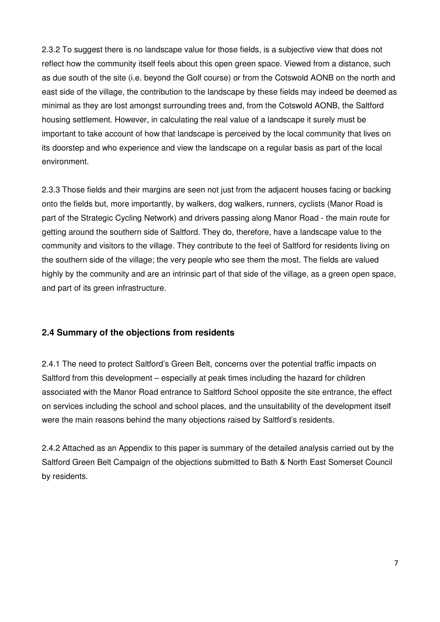2.3.2 To suggest there is no landscape value for those fields, is a subjective view that does not reflect how the community itself feels about this open green space. Viewed from a distance, such as due south of the site (i.e. beyond the Golf course) or from the Cotswold AONB on the north and east side of the village, the contribution to the landscape by these fields may indeed be deemed as minimal as they are lost amongst surrounding trees and, from the Cotswold AONB, the Saltford housing settlement. However, in calculating the real value of a landscape it surely must be important to take account of how that landscape is perceived by the local community that lives on its doorstep and who experience and view the landscape on a regular basis as part of the local environment.

2.3.3 Those fields and their margins are seen not just from the adjacent houses facing or backing onto the fields but, more importantly, by walkers, dog walkers, runners, cyclists (Manor Road is part of the Strategic Cycling Network) and drivers passing along Manor Road - the main route for getting around the southern side of Saltford. They do, therefore, have a landscape value to the community and visitors to the village. They contribute to the feel of Saltford for residents living on the southern side of the village; the very people who see them the most. The fields are valued highly by the community and are an intrinsic part of that side of the village, as a green open space, and part of its green infrastructure.

## **2.4 Summary of the objections from residents**

2.4.1 The need to protect Saltford's Green Belt, concerns over the potential traffic impacts on Saltford from this development – especially at peak times including the hazard for children associated with the Manor Road entrance to Saltford School opposite the site entrance, the effect on services including the school and school places, and the unsuitability of the development itself were the main reasons behind the many objections raised by Saltford's residents.

2.4.2 Attached as an Appendix to this paper is summary of the detailed analysis carried out by the Saltford Green Belt Campaign of the objections submitted to Bath & North East Somerset Council by residents.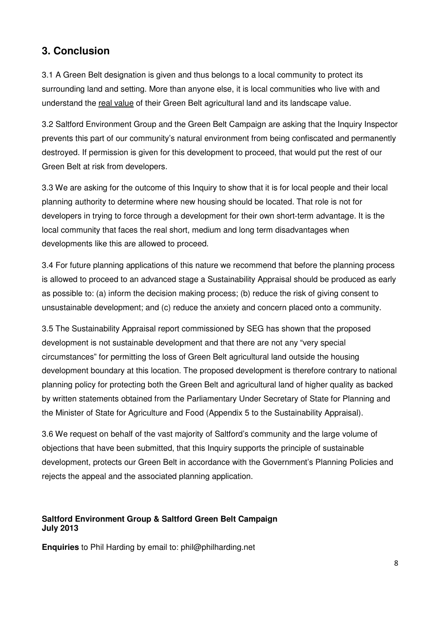# **3. Conclusion**

3.1 A Green Belt designation is given and thus belongs to a local community to protect its surrounding land and setting. More than anyone else, it is local communities who live with and understand the real value of their Green Belt agricultural land and its landscape value.

3.2 Saltford Environment Group and the Green Belt Campaign are asking that the Inquiry Inspector prevents this part of our community's natural environment from being confiscated and permanently destroyed. If permission is given for this development to proceed, that would put the rest of our Green Belt at risk from developers.

3.3 We are asking for the outcome of this Inquiry to show that it is for local people and their local planning authority to determine where new housing should be located. That role is not for developers in trying to force through a development for their own short-term advantage. It is the local community that faces the real short, medium and long term disadvantages when developments like this are allowed to proceed.

3.4 For future planning applications of this nature we recommend that before the planning process is allowed to proceed to an advanced stage a Sustainability Appraisal should be produced as early as possible to: (a) inform the decision making process; (b) reduce the risk of giving consent to unsustainable development; and (c) reduce the anxiety and concern placed onto a community.

3.5 The Sustainability Appraisal report commissioned by SEG has shown that the proposed development is not sustainable development and that there are not any "very special circumstances" for permitting the loss of Green Belt agricultural land outside the housing development boundary at this location. The proposed development is therefore contrary to national planning policy for protecting both the Green Belt and agricultural land of higher quality as backed by written statements obtained from the Parliamentary Under Secretary of State for Planning and the Minister of State for Agriculture and Food (Appendix 5 to the Sustainability Appraisal).

3.6 We request on behalf of the vast majority of Saltford's community and the large volume of objections that have been submitted, that this Inquiry supports the principle of sustainable development, protects our Green Belt in accordance with the Government's Planning Policies and rejects the appeal and the associated planning application.

#### **Saltford Environment Group & Saltford Green Belt Campaign July 2013**

**Enquiries** to Phil Harding by email to: phil@philharding.net